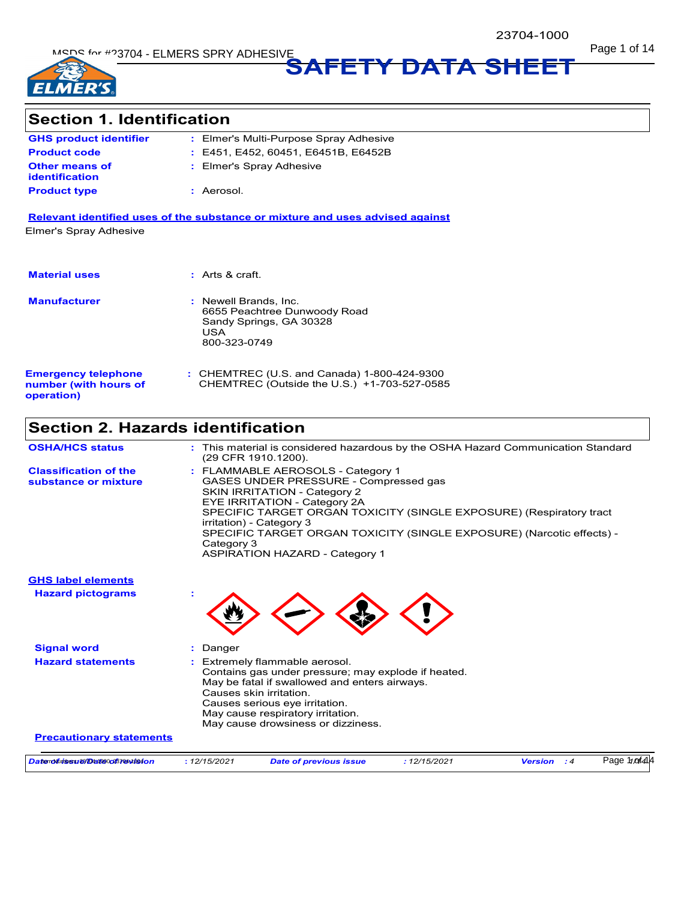MSDS for #23704 - ELMERS SPRY ADHESIVE And the state of the state of the state of the state of the state of the state of the state of the state of the state of the state of the state of the state of the state of the state



**SAFETY DATA SHEET**

# **Section 1. Identification**

| <b>GHS product identifier</b>                  | : Elmer's Multi-Purpose Spray Adhesive |
|------------------------------------------------|----------------------------------------|
| <b>Product code</b>                            | : E451, E452, 60451, E6451B, E6452B    |
| <b>Other means of</b><br><b>identification</b> | : Elmer's Spray Adhesive               |
| <b>Product type</b>                            | : Aerosol.                             |

**Relevant identified uses of the substance or mixture and uses advised against** Elmer's Spray Adhesive

| <b>Material uses</b>                                              | : Arts & craft                                                                                          |
|-------------------------------------------------------------------|---------------------------------------------------------------------------------------------------------|
| <b>Manufacturer</b>                                               | : Newell Brands, Inc.<br>6655 Peachtree Dunwoody Road<br>Sandy Springs, GA 30328<br>USA<br>800-323-0749 |
| <b>Emergency telephone</b><br>number (with hours of<br>operation) | : CHEMTREC (U.S. and Canada) 1-800-424-9300<br>CHEMTREC (Outside the U.S.) +1-703-527-0585              |

# **Section 2. Hazards identification**

| <b>OSHA/HCS status</b>                               |              | : This material is considered hazardous by the OSHA Hazard Communication Standard                                                                                                                                                                                                                                                                                      |              |                      |              |
|------------------------------------------------------|--------------|------------------------------------------------------------------------------------------------------------------------------------------------------------------------------------------------------------------------------------------------------------------------------------------------------------------------------------------------------------------------|--------------|----------------------|--------------|
|                                                      |              | (29 CFR 1910.1200).                                                                                                                                                                                                                                                                                                                                                    |              |                      |              |
| <b>Classification of the</b><br>substance or mixture | Category 3   | : FLAMMABLE AEROSOLS - Category 1<br>GASES UNDER PRESSURE - Compressed gas<br><b>SKIN IRRITATION - Category 2</b><br>EYE IRRITATION - Category 2A<br>SPECIFIC TARGET ORGAN TOXICITY (SINGLE EXPOSURE) (Respiratory tract<br>irritation) - Category 3<br>SPECIFIC TARGET ORGAN TOXICITY (SINGLE EXPOSURE) (Narcotic effects) -<br><b>ASPIRATION HAZARD - Category 1</b> |              |                      |              |
| <b>GHS label elements</b>                            |              |                                                                                                                                                                                                                                                                                                                                                                        |              |                      |              |
| <b>Hazard pictograms</b>                             |              |                                                                                                                                                                                                                                                                                                                                                                        |              |                      |              |
| <b>Signal word</b>                                   | Danger       |                                                                                                                                                                                                                                                                                                                                                                        |              |                      |              |
| <b>Hazard statements</b>                             |              | Extremely flammable aerosol.<br>Contains gas under pressure; may explode if heated.<br>May be fatal if swallowed and enters airways.<br>Causes skin irritation.<br>Causes serious eye irritation.<br>May cause respiratory irritation.<br>May cause drowsiness or dizziness.                                                                                           |              |                      |              |
| <b>Precautionary statements</b>                      |              |                                                                                                                                                                                                                                                                                                                                                                        |              |                      |              |
| Datenditinessief@atteoog87@wtte4on                   | : 12/15/2021 | <b>Date of previous issue</b>                                                                                                                                                                                                                                                                                                                                          | : 12/15/2021 | <b>Version</b><br>:4 | Page 100f414 |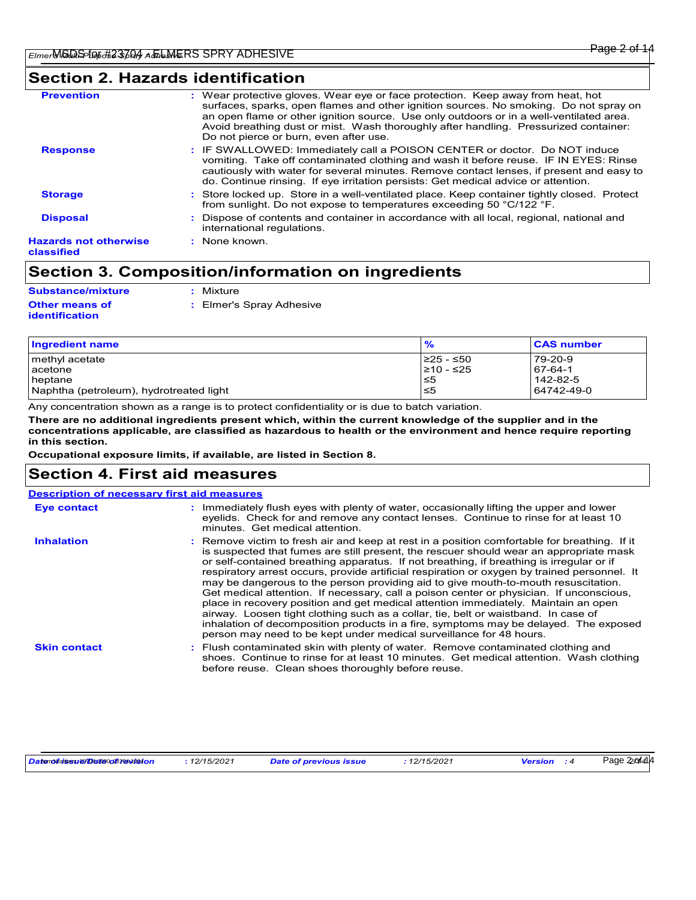# **Section 2. Hazards identification**

| <b>Prevention</b>                          | : Wear protective gloves. Wear eye or face protection. Keep away from heat, hot<br>surfaces, sparks, open flames and other ignition sources. No smoking. Do not spray on<br>an open flame or other ignition source. Use only outdoors or in a well-ventilated area.<br>Avoid breathing dust or mist. Wash thoroughly after handling. Pressurized container:<br>Do not pierce or burn, even after use. |
|--------------------------------------------|-------------------------------------------------------------------------------------------------------------------------------------------------------------------------------------------------------------------------------------------------------------------------------------------------------------------------------------------------------------------------------------------------------|
| <b>Response</b>                            | : IF SWALLOWED: Immediately call a POISON CENTER or doctor. Do NOT induce<br>vomiting. Take off contaminated clothing and wash it before reuse. IF IN EYES: Rinse<br>cautiously with water for several minutes. Remove contact lenses, if present and easy to<br>do. Continue rinsing. If eye irritation persists: Get medical advice or attention.                                                   |
| <b>Storage</b>                             | : Store locked up. Store in a well-ventilated place. Keep container tightly closed. Protect<br>from sunlight. Do not expose to temperatures exceeding 50 °C/122 °F.                                                                                                                                                                                                                                   |
| <b>Disposal</b>                            | : Dispose of contents and container in accordance with all local, regional, national and<br>international regulations.                                                                                                                                                                                                                                                                                |
| <b>Hazards not otherwise</b><br>classified | : None known.                                                                                                                                                                                                                                                                                                                                                                                         |

# **Section 3. Composition/information on ingredients**

| Substance/mixture                              | : Mixture                |
|------------------------------------------------|--------------------------|
| <b>Other means of</b><br><b>identification</b> | : Elmer's Spray Adhesive |

| Ingredient name                         | $\frac{9}{6}$ | <b>CAS number</b> |
|-----------------------------------------|---------------|-------------------|
| methyl acetate                          | I≥25 - ≤50    | 79-20-9           |
| <b>l</b> acetone                        | 210 - ≤25     | 67-64-1           |
| <b>I</b> heptane                        | l≤5           | 142-82-5          |
| Naphtha (petroleum), hydrotreated light | ≤5            | 64742-49-0        |

Any concentration shown as a range is to protect confidentiality or is due to batch variation.

**There are no additional ingredients present which, within the current knowledge of the supplier and in the concentrations applicable, are classified as hazardous to health or the environment and hence require reporting in this section.**

**Occupational exposure limits, if available, are listed in Section 8.**

# **Section 4. First aid measures**

|                     | <b>Description of necessary first aid measures</b>                                                                                                                                                                                                                                                                                                                                                                                                                                                                                                                                                                                                                                                                                                                                                                                                                                                             |
|---------------------|----------------------------------------------------------------------------------------------------------------------------------------------------------------------------------------------------------------------------------------------------------------------------------------------------------------------------------------------------------------------------------------------------------------------------------------------------------------------------------------------------------------------------------------------------------------------------------------------------------------------------------------------------------------------------------------------------------------------------------------------------------------------------------------------------------------------------------------------------------------------------------------------------------------|
| <b>Eye contact</b>  | : Immediately flush eyes with plenty of water, occasionally lifting the upper and lower<br>eyelids. Check for and remove any contact lenses. Continue to rinse for at least 10<br>minutes. Get medical attention.                                                                                                                                                                                                                                                                                                                                                                                                                                                                                                                                                                                                                                                                                              |
| <b>Inhalation</b>   | : Remove victim to fresh air and keep at rest in a position comfortable for breathing. If it<br>is suspected that fumes are still present, the rescuer should wear an appropriate mask<br>or self-contained breathing apparatus. If not breathing, if breathing is irregular or if<br>respiratory arrest occurs, provide artificial respiration or oxygen by trained personnel. It<br>may be dangerous to the person providing aid to give mouth-to-mouth resuscitation.<br>Get medical attention. If necessary, call a poison center or physician. If unconscious,<br>place in recovery position and get medical attention immediately. Maintain an open<br>airway. Loosen tight clothing such as a collar, tie, belt or waistband. In case of<br>inhalation of decomposition products in a fire, symptoms may be delayed. The exposed<br>person may need to be kept under medical surveillance for 48 hours. |
| <b>Skin contact</b> | : Flush contaminated skin with plenty of water. Remove contaminated clothing and<br>shoes. Continue to rinse for at least 10 minutes. Get medical attention. Wash clothing<br>before reuse. Clean shoes thoroughly before reuse.                                                                                                                                                                                                                                                                                                                                                                                                                                                                                                                                                                                                                                                                               |

| Datenolūrissu 2970 atl@0023704vt094on |
|---------------------------------------|
|---------------------------------------|

*Date of issue/Date of revision* Item Numbers: 23704-1000, 23704-1004 **:** *12/15/2021 Date of previous issue : 12/15/2021 Version : 4*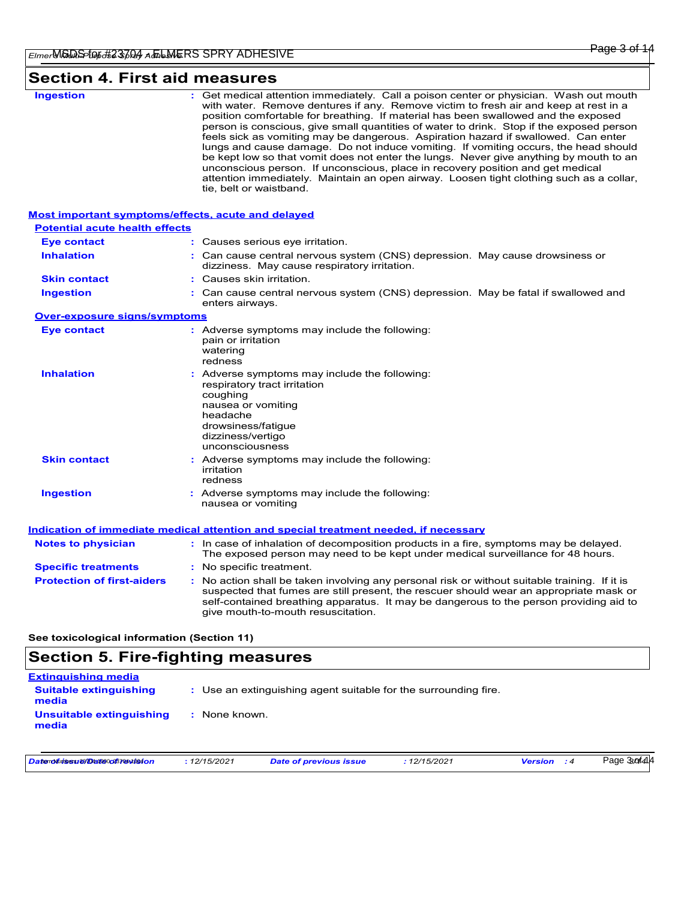# **Section 4. First aid measures**

| <b>Ingestion</b>                                                                                   | : Get medical attention immediately. Call a poison center or physician. Wash out mouth<br>with water. Remove dentures if any. Remove victim to fresh air and keep at rest in a<br>position comfortable for breathing. If material has been swallowed and the exposed<br>person is conscious, give small quantities of water to drink. Stop if the exposed person<br>feels sick as vomiting may be dangerous. Aspiration hazard if swallowed. Can enter<br>lungs and cause damage. Do not induce vomiting. If vomiting occurs, the head should<br>be kept low so that vomit does not enter the lungs. Never give anything by mouth to an<br>unconscious person. If unconscious, place in recovery position and get medical<br>attention immediately. Maintain an open airway. Loosen tight clothing such as a collar,<br>tie, belt or waistband. |
|----------------------------------------------------------------------------------------------------|-------------------------------------------------------------------------------------------------------------------------------------------------------------------------------------------------------------------------------------------------------------------------------------------------------------------------------------------------------------------------------------------------------------------------------------------------------------------------------------------------------------------------------------------------------------------------------------------------------------------------------------------------------------------------------------------------------------------------------------------------------------------------------------------------------------------------------------------------|
| <b>Most important symptoms/effects, acute and delayed</b><br><b>Potential acute health effects</b> |                                                                                                                                                                                                                                                                                                                                                                                                                                                                                                                                                                                                                                                                                                                                                                                                                                                 |
| <b>Eye contact</b>                                                                                 | : Causes serious eye irritation.                                                                                                                                                                                                                                                                                                                                                                                                                                                                                                                                                                                                                                                                                                                                                                                                                |
| <b>Inhalation</b>                                                                                  | : Can cause central nervous system (CNS) depression. May cause drowsiness or<br>dizziness. May cause respiratory irritation.                                                                                                                                                                                                                                                                                                                                                                                                                                                                                                                                                                                                                                                                                                                    |
| <b>Skin contact</b>                                                                                | : Causes skin irritation.                                                                                                                                                                                                                                                                                                                                                                                                                                                                                                                                                                                                                                                                                                                                                                                                                       |
| <b>Ingestion</b>                                                                                   | : Can cause central nervous system (CNS) depression. May be fatal if swallowed and<br>enters airways.                                                                                                                                                                                                                                                                                                                                                                                                                                                                                                                                                                                                                                                                                                                                           |
| Over-exposure signs/symptoms                                                                       |                                                                                                                                                                                                                                                                                                                                                                                                                                                                                                                                                                                                                                                                                                                                                                                                                                                 |
| <b>Eye contact</b>                                                                                 | : Adverse symptoms may include the following:<br>pain or irritation<br>watering<br>redness                                                                                                                                                                                                                                                                                                                                                                                                                                                                                                                                                                                                                                                                                                                                                      |
| <b>Inhalation</b>                                                                                  | : Adverse symptoms may include the following:<br>respiratory tract irritation<br>coughing<br>nausea or vomiting<br>headache<br>drowsiness/fatigue<br>dizziness/vertigo<br>unconsciousness                                                                                                                                                                                                                                                                                                                                                                                                                                                                                                                                                                                                                                                       |
| <b>Skin contact</b>                                                                                | : Adverse symptoms may include the following:<br>irritation<br>redness                                                                                                                                                                                                                                                                                                                                                                                                                                                                                                                                                                                                                                                                                                                                                                          |
| <b>Ingestion</b>                                                                                   | : Adverse symptoms may include the following:<br>nausea or vomiting                                                                                                                                                                                                                                                                                                                                                                                                                                                                                                                                                                                                                                                                                                                                                                             |
|                                                                                                    | Indication of immediate medical attention and special treatment needed, if necessary                                                                                                                                                                                                                                                                                                                                                                                                                                                                                                                                                                                                                                                                                                                                                            |
| <b>Notes to physician</b>                                                                          | : In case of inhalation of decomposition products in a fire, symptoms may be delayed.<br>The exposed person may need to be kept under medical surveillance for 48 hours.                                                                                                                                                                                                                                                                                                                                                                                                                                                                                                                                                                                                                                                                        |
| <b>Specific treatments</b>                                                                         | : No specific treatment.                                                                                                                                                                                                                                                                                                                                                                                                                                                                                                                                                                                                                                                                                                                                                                                                                        |
| <b>Protection of first-aiders</b>                                                                  | : No action shall be taken involving any personal risk or without suitable training. If it is<br>suspected that fumes are still present, the rescuer should wear an appropriate mask or<br>self-contained breathing apparatus. It may be dangerous to the person providing aid to<br>give mouth-to-mouth resuscitation.                                                                                                                                                                                                                                                                                                                                                                                                                                                                                                                         |
| See toxicological information (Section 11)                                                         |                                                                                                                                                                                                                                                                                                                                                                                                                                                                                                                                                                                                                                                                                                                                                                                                                                                 |

# **Section 5. Fire-fighting measures**

| <b>Extinguishing media</b>             |                                                                 |
|----------------------------------------|-----------------------------------------------------------------|
| <b>Suitable extinguishing</b><br>media | : Use an extinguishing agent suitable for the surrounding fire. |
| Unsuitable extinguishing<br>media      | : None known.                                                   |

*Date of issue/Date of revision* Item Numbers: 23704-1000, 23704-1004 **:** *12/15/2021 Date of previous issue : 12/15/2021 Version : 4*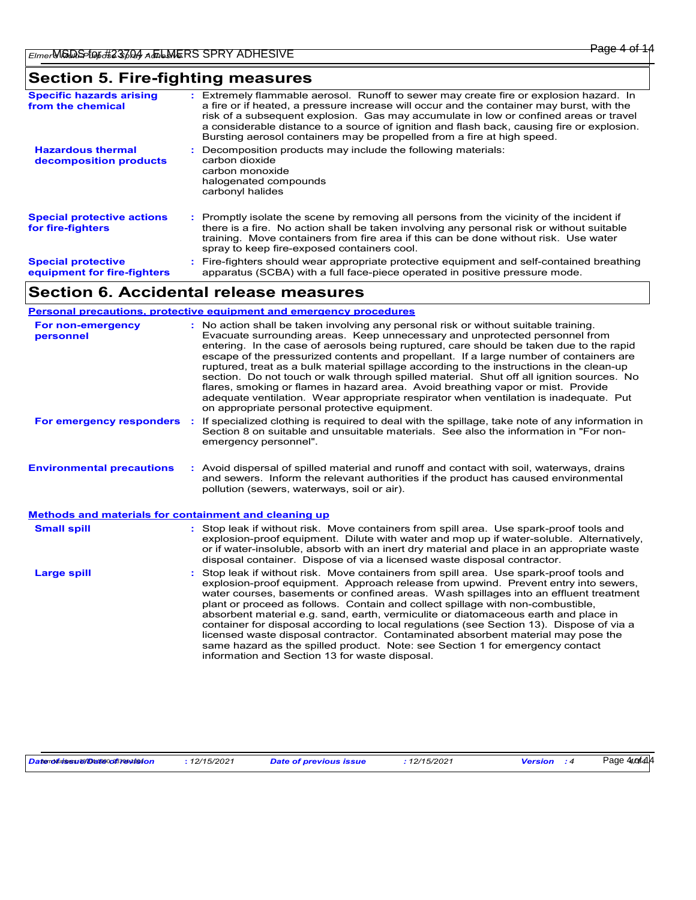# **Section 5. Fire-fighting measures**

| <b>Specific hazards arising</b><br>from the chemical     | : Extremely flammable aerosol. Runoff to sewer may create fire or explosion hazard. In<br>a fire or if heated, a pressure increase will occur and the container may burst, with the<br>risk of a subsequent explosion. Gas may accumulate in low or confined areas or travel<br>a considerable distance to a source of ignition and flash back, causing fire or explosion.<br>Bursting aerosol containers may be propelled from a fire at high speed. |
|----------------------------------------------------------|-------------------------------------------------------------------------------------------------------------------------------------------------------------------------------------------------------------------------------------------------------------------------------------------------------------------------------------------------------------------------------------------------------------------------------------------------------|
| <b>Hazardous thermal</b><br>decomposition products       | Decomposition products may include the following materials:<br>carbon dioxide<br>carbon monoxide<br>halogenated compounds<br>carbonyl halides                                                                                                                                                                                                                                                                                                         |
| <b>Special protective actions</b><br>for fire-fighters   | : Promptly isolate the scene by removing all persons from the vicinity of the incident if<br>there is a fire. No action shall be taken involving any personal risk or without suitable<br>training. Move containers from fire area if this can be done without risk. Use water<br>spray to keep fire-exposed containers cool.                                                                                                                         |
| <b>Special protective</b><br>equipment for fire-fighters | Fire-fighters should wear appropriate protective equipment and self-contained breathing<br>apparatus (SCBA) with a full face-piece operated in positive pressure mode.                                                                                                                                                                                                                                                                                |

# **Section 6. Accidental release measures**

### **Personal precautions, protective equipment and emergency procedures**

| For non-emergency<br>personnel                        | : No action shall be taken involving any personal risk or without suitable training.<br>Evacuate surrounding areas. Keep unnecessary and unprotected personnel from<br>entering. In the case of aerosols being ruptured, care should be taken due to the rapid<br>escape of the pressurized contents and propellant. If a large number of containers are<br>ruptured, treat as a bulk material spillage according to the instructions in the clean-up<br>section. Do not touch or walk through spilled material. Shut off all ignition sources. No<br>flares, smoking or flames in hazard area. Avoid breathing vapor or mist. Provide<br>adequate ventilation. Wear appropriate respirator when ventilation is inadequate. Put<br>on appropriate personal protective equipment. |
|-------------------------------------------------------|----------------------------------------------------------------------------------------------------------------------------------------------------------------------------------------------------------------------------------------------------------------------------------------------------------------------------------------------------------------------------------------------------------------------------------------------------------------------------------------------------------------------------------------------------------------------------------------------------------------------------------------------------------------------------------------------------------------------------------------------------------------------------------|
| For emergency responders                              | If specialized clothing is required to deal with the spillage, take note of any information in<br>Section 8 on suitable and unsuitable materials. See also the information in "For non-<br>emergency personnel".                                                                                                                                                                                                                                                                                                                                                                                                                                                                                                                                                                 |
| <b>Environmental precautions</b>                      | : Avoid dispersal of spilled material and runoff and contact with soil, waterways, drains<br>and sewers. Inform the relevant authorities if the product has caused environmental<br>pollution (sewers, waterways, soil or air).                                                                                                                                                                                                                                                                                                                                                                                                                                                                                                                                                  |
| Methods and materials for containment and cleaning up |                                                                                                                                                                                                                                                                                                                                                                                                                                                                                                                                                                                                                                                                                                                                                                                  |
| <b>Small spill</b>                                    | : Stop leak if without risk. Move containers from spill area. Use spark-proof tools and<br>explosion-proof equipment. Dilute with water and mop up if water-soluble. Alternatively,<br>or if water-insoluble, absorb with an inert dry material and place in an appropriate waste<br>disposal container. Dispose of via a licensed waste disposal contractor.                                                                                                                                                                                                                                                                                                                                                                                                                    |
| <b>Large spill</b>                                    | : Stop leak if without risk. Move containers from spill area. Use spark-proof tools and<br>explosion-proof equipment. Approach release from upwind. Prevent entry into sewers,<br>water courses, basements or confined areas. Wash spillages into an effluent treatment<br>plant or proceed as follows. Contain and collect spillage with non-combustible,<br>absorbent material e.g. sand, earth, vermiculite or diatomaceous earth and place in<br>container for disposal according to local regulations (see Section 13). Dispose of via a<br>licensed waste disposal contractor. Contaminated absorbent material may pose the<br>same hazard as the spilled product. Note: see Section 1 for emergency contact<br>information and Section 13 for waste disposal.             |

Page 4*uof*i414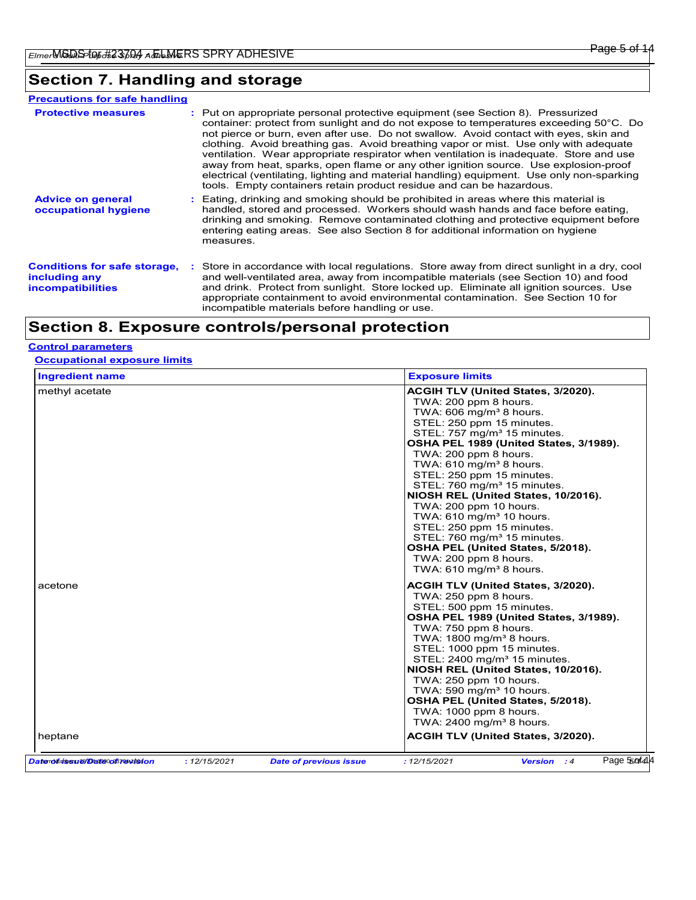# **Section 7. Handling and storage**

| <b>Precautions for safe handling</b>                                             |                                                                                                                                                                                                                                                                                                                                                                                                                                                                                                                                                                                                                                                                                                                  |
|----------------------------------------------------------------------------------|------------------------------------------------------------------------------------------------------------------------------------------------------------------------------------------------------------------------------------------------------------------------------------------------------------------------------------------------------------------------------------------------------------------------------------------------------------------------------------------------------------------------------------------------------------------------------------------------------------------------------------------------------------------------------------------------------------------|
| <b>Protective measures</b>                                                       | : Put on appropriate personal protective equipment (see Section 8). Pressurized<br>container: protect from sunlight and do not expose to temperatures exceeding 50°C. Do<br>not pierce or burn, even after use. Do not swallow. Avoid contact with eyes, skin and<br>clothing. Avoid breathing gas. Avoid breathing vapor or mist. Use only with adequate<br>ventilation. Wear appropriate respirator when ventilation is inadequate. Store and use<br>away from heat, sparks, open flame or any other ignition source. Use explosion-proof<br>electrical (ventilating, lighting and material handling) equipment. Use only non-sparking<br>tools. Empty containers retain product residue and can be hazardous. |
| <b>Advice on general</b><br>occupational hygiene                                 | : Eating, drinking and smoking should be prohibited in areas where this material is<br>handled, stored and processed. Workers should wash hands and face before eating.<br>drinking and smoking. Remove contaminated clothing and protective equipment before<br>entering eating areas. See also Section 8 for additional information on hygiene<br>measures.                                                                                                                                                                                                                                                                                                                                                    |
| <b>Conditions for safe storage.</b><br>including any<br><b>incompatibilities</b> | : Store in accordance with local regulations. Store away from direct sunlight in a dry, cool<br>and well-ventilated area, away from incompatible materials (see Section 10) and food<br>and drink. Protect from sunlight. Store locked up. Eliminate all ignition sources. Use<br>appropriate containment to avoid environmental contamination. See Section 10 for<br>incompatible materials before handling or use.                                                                                                                                                                                                                                                                                             |

# **Section 8. Exposure controls/personal protection**

### **Control parameters**

### **Occupational exposure limits**

| <b>Ingredient name</b>        |              |                               | <b>Exposure limits</b>                                                                                                                                                                                                                                                                                                                                                                                                                                                                                                                                                                                                                         |
|-------------------------------|--------------|-------------------------------|------------------------------------------------------------------------------------------------------------------------------------------------------------------------------------------------------------------------------------------------------------------------------------------------------------------------------------------------------------------------------------------------------------------------------------------------------------------------------------------------------------------------------------------------------------------------------------------------------------------------------------------------|
| methyl acetate                |              |                               | ACGIH TLV (United States, 3/2020).<br>TWA: 200 ppm 8 hours.<br>TWA: $606 \text{ mg/m}^3$ 8 hours.<br>STEL: 250 ppm 15 minutes.<br>STEL: $757 \text{ mg/m}^3$ 15 minutes.<br>OSHA PEL 1989 (United States, 3/1989).<br>TWA: 200 ppm 8 hours.<br>TWA: 610 mg/m <sup>3</sup> 8 hours.<br>STEL: 250 ppm 15 minutes.<br>STEL: 760 mg/m <sup>3</sup> 15 minutes.<br>NIOSH REL (United States, 10/2016).<br>TWA: 200 ppm 10 hours.<br>TWA: 610 mg/m <sup>3</sup> 10 hours.<br>STEL: 250 ppm 15 minutes.<br>STEL: $760 \text{ mg/m}^3$ 15 minutes.<br>OSHA PEL (United States, 5/2018).<br>TWA: 200 ppm 8 hours.<br>TWA: $610 \text{ mg/m}^3$ 8 hours. |
| acetone                       |              |                               | ACGIH TLV (United States, 3/2020).<br>TWA: 250 ppm 8 hours.<br>STEL: 500 ppm 15 minutes.<br>OSHA PEL 1989 (United States, 3/1989).<br>TWA: 750 ppm 8 hours.<br>TWA: $1800 \text{ mg/m}^3$ 8 hours.<br>STEL: 1000 ppm 15 minutes.<br>STEL: 2400 mg/m <sup>3</sup> 15 minutes.<br>NIOSH REL (United States, 10/2016).<br>TWA: 250 ppm 10 hours.<br>TWA: $590 \text{ mg/m}^3$ 10 hours.<br>OSHA PEL (United States, 5/2018).<br>TWA: 1000 ppm 8 hours.<br>TWA: $2400 \text{ mg/m}^3$ 8 hours.                                                                                                                                                     |
| heptane                       |              |                               | ACGIH TLV (United States, 3/2020).                                                                                                                                                                                                                                                                                                                                                                                                                                                                                                                                                                                                             |
| Datenduidesu@@at@oo87@wib94on | : 12/15/2021 | <b>Date of previous issue</b> | Page 55of414<br>: 12/15/2021<br><b>Version</b> : 4                                                                                                                                                                                                                                                                                                                                                                                                                                                                                                                                                                                             |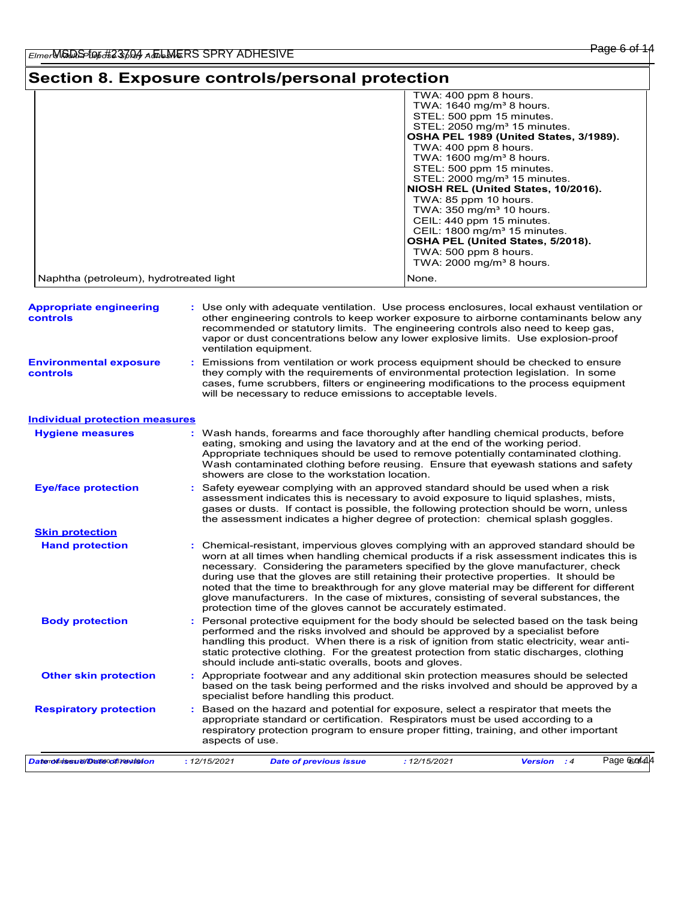## **Section 8. Exposure controls/personal protection**

|                                         | TWA: 400 ppm 8 hours.                    |
|-----------------------------------------|------------------------------------------|
|                                         | TWA: $1640 \text{ mg/m}^3$ 8 hours.      |
|                                         | STEL: 500 ppm 15 minutes.                |
|                                         | STEL: 2050 mg/m <sup>3</sup> 15 minutes. |
|                                         | OSHA PEL 1989 (United States, 3/1989).   |
|                                         | TWA: 400 ppm 8 hours.                    |
|                                         | TWA: $1600 \text{ mg/m}^3$ 8 hours.      |
|                                         | STEL: 500 ppm 15 minutes.                |
|                                         | STEL: 2000 mg/m <sup>3</sup> 15 minutes. |
|                                         | NIOSH REL (United States, 10/2016).      |
|                                         | TWA: 85 ppm 10 hours                     |
|                                         | TWA: $350 \text{ mg/m}^3$ 10 hours.      |
|                                         | CEIL: 440 ppm 15 minutes.                |
|                                         | CEIL: 1800 mg/m <sup>3</sup> 15 minutes. |
|                                         | OSHA PEL (United States, 5/2018).        |
|                                         | TWA: 500 ppm 8 hours.                    |
|                                         | TWA: $2000 \text{ mg/m}^3$ 8 hours.      |
| Naphtha (petroleum), hydrotreated light | None.                                    |

| <b>Appropriate engineering</b><br><b>controls</b> | : Use only with adequate ventilation. Use process enclosures, local exhaust ventilation or<br>other engineering controls to keep worker exposure to airborne contaminants below any<br>recommended or statutory limits. The engineering controls also need to keep gas,<br>vapor or dust concentrations below any lower explosive limits. Use explosion-proof<br>ventilation equipment. |
|---------------------------------------------------|-----------------------------------------------------------------------------------------------------------------------------------------------------------------------------------------------------------------------------------------------------------------------------------------------------------------------------------------------------------------------------------------|
| <b>Environmental exposure</b><br><b>controls</b>  | : Emissions from ventilation or work process equipment should be checked to ensure<br>they comply with the requirements of environmental protection legislation. In some<br>cases, fume scrubbers, filters or engineering modifications to the process equipment<br>will be necessary to reduce emissions to acceptable levels.                                                         |
| Individual protection measures                    |                                                                                                                                                                                                                                                                                                                                                                                         |

#### **Hand protection** Based on the hazard and potential for exposure, select a respirator that meets the appropriate standard or certification. Respirators must be used according to a respiratory protection program to ensure proper fitting, training, and other important aspects of use. Chemical-resistant, impervious gloves complying with an approved standard should be **:** worn at all times when handling chemical products if a risk assessment indicates this is necessary. Considering the parameters specified by the glove manufacturer, check during use that the gloves are still retaining their protective properties. It should be noted that the time to breakthrough for any glove material may be different for different glove manufacturers. In the case of mixtures, consisting of several substances, the protection time of the gloves cannot be accurately estimated. Safety eyewear complying with an approved standard should be used when a risk **:** assessment indicates this is necessary to avoid exposure to liquid splashes, mists, gases or dusts. If contact is possible, the following protection should be worn, unless the assessment indicates a higher degree of protection: chemical splash goggles. **Eye/face protection Respiratory protection :** Body protection **Personal protective equipment for the body should be selected based on the task being <b>Body** performed and the risks involved and should be approved by a specialist before handling this product. When there is a risk of ignition from static electricity, wear antistatic protective clothing. For the greatest protection from static discharges, clothing should include anti-static overalls, boots and gloves. Wash hands, forearms and face thoroughly after handling chemical products, before eating, smoking and using the lavatory and at the end of the working period. Appropriate techniques should be used to remove potentially contaminated clothing. Wash contaminated clothing before reusing. Ensure that eyewash stations and safety showers are close to the workstation location. **Hygiene measures : Skin protection Other skin protection :** Appropriate footwear and any additional skin protection measures should be selected based on the task being performed and the risks involved and should be approved by a specialist before handling this product. *Date of issue/Date of revision* Item Numbers: 23704-1000, 23704-1004 **:** *12/15/2021 Date of previous issue : 12/15/2021 Version : 4* Page 6corf414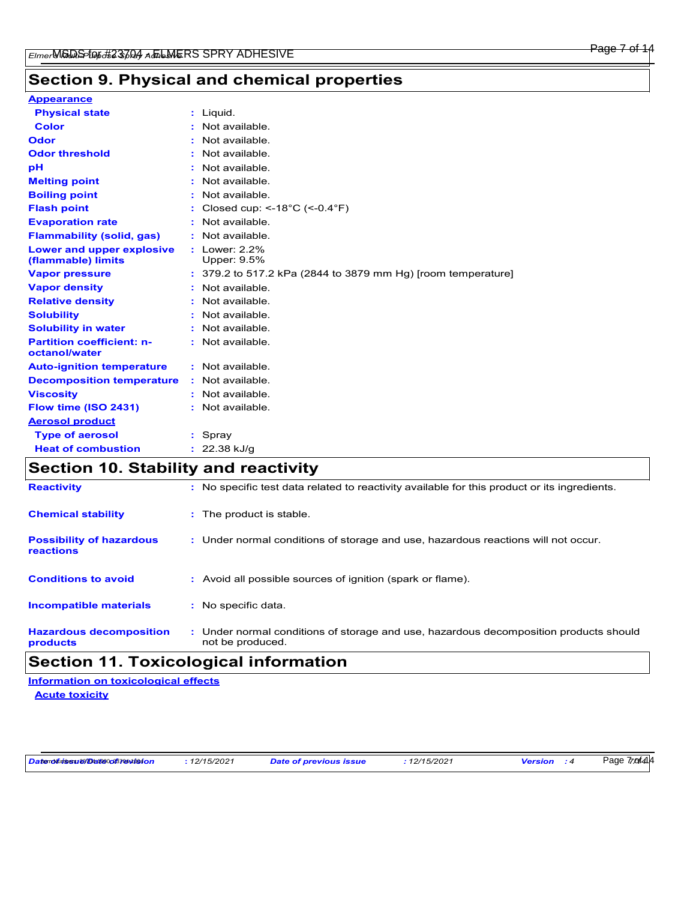#### Page 7 of 14

# **Section 9. Physical and chemical properties**

| <b>Appearance</b>                                 |                                                                |
|---------------------------------------------------|----------------------------------------------------------------|
| <b>Physical state</b>                             | : Liquid.                                                      |
| <b>Color</b>                                      | Not available.                                                 |
| Odor                                              | Not available.                                                 |
| <b>Odor threshold</b>                             | Not available.                                                 |
| рH                                                | Not available.                                                 |
| <b>Melting point</b>                              | : Not available.                                               |
| <b>Boiling point</b>                              | : Not available.                                               |
| <b>Flash point</b>                                | : Closed cup: <-18°C (<-0.4°F)                                 |
| <b>Evaporation rate</b>                           | Not available.                                                 |
| <b>Flammability (solid, gas)</b>                  | : Not available.                                               |
| Lower and upper explosive<br>(flammable) limits   | : Lower: 2.2%<br>Upper: 9.5%                                   |
| <b>Vapor pressure</b>                             | $: 379.2$ to 517.2 kPa (2844 to 3879 mm Hg) [room temperature] |
| <b>Vapor density</b>                              | : Not available.                                               |
| <b>Relative density</b>                           | Not available.                                                 |
| <b>Solubility</b>                                 | : Not available.                                               |
| <b>Solubility in water</b>                        | : Not available.                                               |
| <b>Partition coefficient: n-</b><br>octanol/water | : Not available.                                               |
| <b>Auto-ignition temperature</b>                  | : Not available.                                               |
| <b>Decomposition temperature</b>                  | : Not available.                                               |
| <b>Viscosity</b>                                  | : Not available.                                               |
| Flow time (ISO 2431)                              | : Not available.                                               |
| <b>Aerosol product</b>                            |                                                                |
| <b>Type of aerosol</b>                            | : Spray                                                        |
| <b>Heat of combustion</b>                         | $: 22.38$ kJ/g                                                 |

# **Section 10. Stability and reactivity**

| <b>Reactivity</b>                            | : No specific test data related to reactivity available for this product or its ingredients.              |
|----------------------------------------------|-----------------------------------------------------------------------------------------------------------|
| <b>Chemical stability</b>                    | : The product is stable.                                                                                  |
| <b>Possibility of hazardous</b><br>reactions | : Under normal conditions of storage and use, hazardous reactions will not occur.                         |
| <b>Conditions to avoid</b>                   | : Avoid all possible sources of ignition (spark or flame).                                                |
| <b>Incompatible materials</b>                | : No specific data.                                                                                       |
| <b>Hazardous decomposition</b><br>products   | : Under normal conditions of storage and use, hazardous decomposition products should<br>not be produced. |

# **Section 11. Toxicological information**

**Acute toxicity Information on toxicological effects**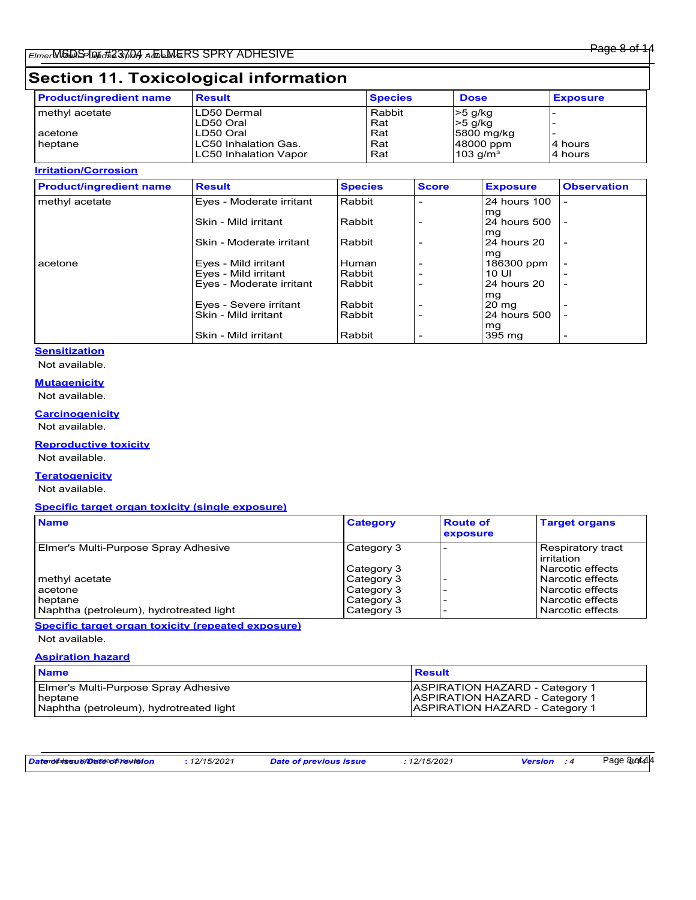# **Section 11. Toxicological information**

| <b>Product/ingredient name</b> | <b>Result</b>          | <b>Species</b> | <b>Dose</b>            | <b>Exposure</b> |
|--------------------------------|------------------------|----------------|------------------------|-----------------|
| ∣methγl acetate                | ILD50 Dermal           | Rabbit         | $>5$ g/kg              |                 |
|                                | LD50 Oral              | Rat            | $>5$ g/kg              |                 |
| acetone                        | LD50 Oral              | Rat            | 5800 mg/kg             |                 |
| heptane                        | ILC50 Inhalation Gas.  | Rat            | 48000 ppm              | l4 hours        |
|                                | ILC50 Inhalation Vapor | Rat            | $103$ g/m <sup>3</sup> | 4 hours         |

#### **Irritation/Corrosion**

| <b>Product/ingredient name</b> | <b>Result</b>                                    | <b>Species</b>   | <b>Score</b> | <b>Exposure</b>      | <b>Observation</b>       |
|--------------------------------|--------------------------------------------------|------------------|--------------|----------------------|--------------------------|
| methyl acetate                 | Eyes - Moderate irritant                         | Rabbit           |              | 24 hours 100         |                          |
|                                | Skin - Mild irritant                             | Rabbit           |              | mg<br>24 hours 500   |                          |
|                                | Skin - Moderate irritant                         | Rabbit           |              | mg<br>24 hours 20    | $\overline{\phantom{0}}$ |
| acetone                        | Eyes - Mild irritant                             | i Human          |              | mg<br>186300 ppm     |                          |
|                                | Eves - Mild irritant<br>Eyes - Moderate irritant | Rabbit<br>Rabbit |              | 10 UI<br>24 hours 20 | $\overline{\phantom{0}}$ |
|                                | Eves - Severe irritant                           | Rabbit           |              | mg<br>20 mg          |                          |
|                                | Skin - Mild irritant                             | Rabbit           |              | 24 hours 500<br>mg   |                          |
|                                | Skin - Mild irritant                             | Rabbit           |              | 395 mg               | $\overline{\phantom{a}}$ |

### **Sensitization**

Not available.

### **Mutagenicity**

Not available.

# **Carcinogenicity**

Not available.

### **Reproductive toxicity**

Not available.

### **Teratogenicity**

Not available.

#### **Specific target organ toxicity (single exposure)**

| <b>Name</b>                             | <b>Category</b> | <b>Route of</b><br>exposure | <b>Target organs</b>              |
|-----------------------------------------|-----------------|-----------------------------|-----------------------------------|
| Elmer's Multi-Purpose Spray Adhesive    | Category 3      |                             | Respiratory tract<br>l irritation |
|                                         | Category 3      |                             | l Narcotic effects                |
| methyl acetate                          | Category 3      |                             | Narcotic effects                  |
| lacetone                                | Category 3      |                             | l Narcotic effects                |
| heptane                                 | Category 3      |                             | l Narcotic effects                |
| Naphtha (petroleum), hydrotreated light | Category 3      |                             | Narcotic effects                  |

**Specific target organ toxicity (repeated exposure)**

Not available.

### **Aspiration hazard**

| <b>Name</b>                             | Result                                |
|-----------------------------------------|---------------------------------------|
| Elmer's Multi-Purpose Spray Adhesive    | <b>ASPIRATION HAZARD - Category 1</b> |
| ∣ heptane                               | <b>ASPIRATION HAZARD - Category 1</b> |
| Naphtha (petroleum), hydrotreated light | <b>ASPIRATION HAZARD - Category 1</b> |

*Date of issue/Date of revision* Item Numbers: 23704-1000, 23704-1004 **:** *12/15/2021 Date of previous issue : 12/15/2021 Version : 4*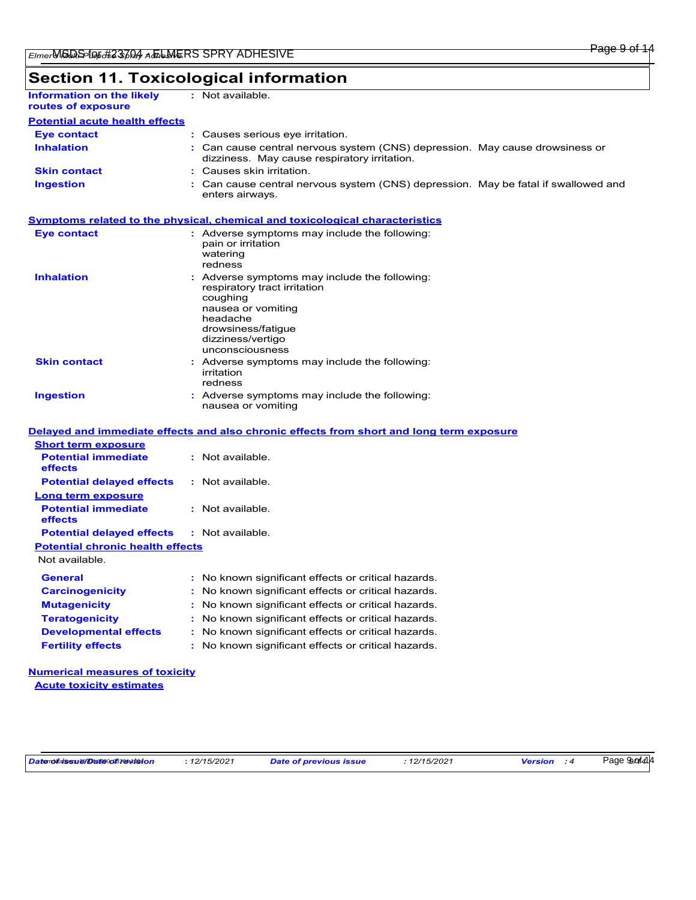# **Section 11. Toxicological information**

| Information on the likely<br>routes of exposure | : Not available.                                                                                                             |
|-------------------------------------------------|------------------------------------------------------------------------------------------------------------------------------|
| <b>Potential acute health effects</b>           |                                                                                                                              |
| <b>Eye contact</b>                              | : Causes serious eye irritation.                                                                                             |
| <b>Inhalation</b>                               | : Can cause central nervous system (CNS) depression. May cause drowsiness or<br>dizziness. May cause respiratory irritation. |
| <b>Skin contact</b>                             | : Causes skin irritation.                                                                                                    |
| <b>Ingestion</b>                                | : Can cause central nervous system (CNS) depression. May be fatal if swallowed and<br>enters airways.                        |

# **Symptoms related to the physical, chemical and toxicological characteristics**

| <b>Eye contact</b>  | : Adverse symptoms may include the following:<br>pain or irritation<br>watering<br>redness                                                                                                |
|---------------------|-------------------------------------------------------------------------------------------------------------------------------------------------------------------------------------------|
| <b>Inhalation</b>   | : Adverse symptoms may include the following:<br>respiratory tract irritation<br>coughing<br>nausea or vomiting<br>headache<br>drowsiness/fatique<br>dizziness/vertigo<br>unconsciousness |
| <b>Skin contact</b> | : Adverse symptoms may include the following:<br>irritation<br>redness                                                                                                                    |
| <b>Ingestion</b>    | : Adverse symptoms may include the following:<br>nausea or vomiting                                                                                                                       |

|                                                   | Delayed and immediate effects and also chronic effects from short and long term exposure |
|---------------------------------------------------|------------------------------------------------------------------------------------------|
| <b>Short term exposure</b>                        |                                                                                          |
| <b>Potential immediate</b><br>effects             | : Not available.                                                                         |
| <b>Potential delayed effects</b>                  | : Not available.                                                                         |
| Long term exposure                                |                                                                                          |
| <b>Potential immediate</b><br><b>effects</b>      | : Not available.                                                                         |
| <b>Potential delayed effects : Not available.</b> |                                                                                          |
| <b>Potential chronic health effects</b>           |                                                                                          |
| Not available.                                    |                                                                                          |
| <b>General</b>                                    | : No known significant effects or critical hazards.                                      |
| <b>Carcinogenicity</b>                            | : No known significant effects or critical hazards.                                      |
| <b>Mutagenicity</b>                               | : No known significant effects or critical hazards.                                      |
| <b>Teratogenicity</b>                             | : No known significant effects or critical hazards.                                      |
| <b>Developmental effects</b>                      | : No known significant effects or critical hazards.                                      |
|                                                   |                                                                                          |

### **Numerical measures of toxicity Acute toxicity estimates**

Page 9*9 of* 414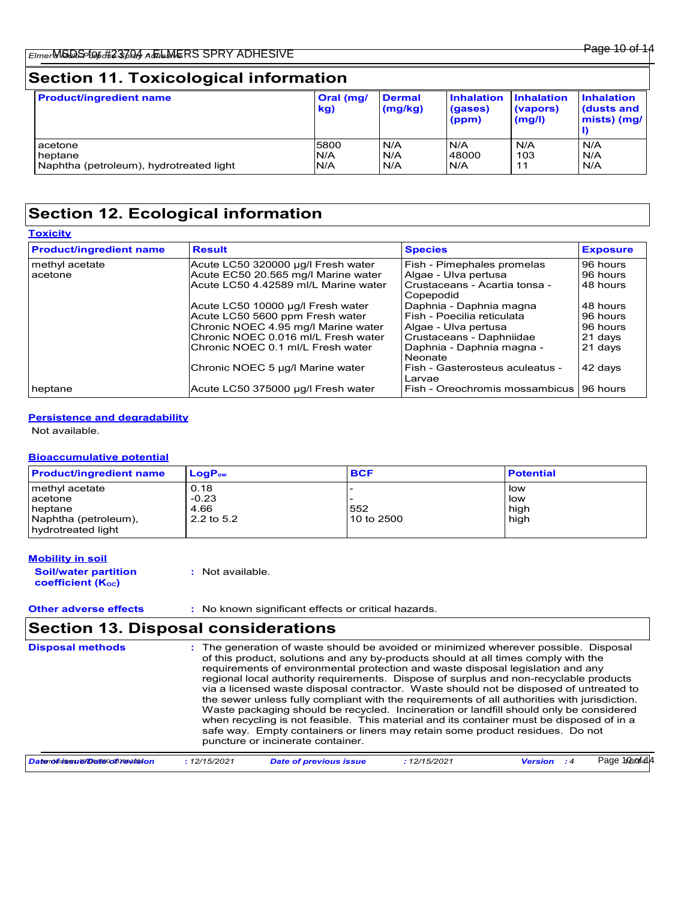| <b>Product/ingredient name</b>          | Oral (mg/<br>kg) | <b>Dermal</b><br>(mg/kg) | <b>Inhalation</b><br>(gases)<br>(ppm) | <b>Inhalation</b><br>(vapors)<br>(mg/l) | <b>Inhalation</b><br>(dusts and<br>mists) (mg/ |
|-----------------------------------------|------------------|--------------------------|---------------------------------------|-----------------------------------------|------------------------------------------------|
| acetone                                 | 5800             | N/A                      | N/A                                   | N/A                                     | N/A                                            |
| heptane                                 | N/A              | N/A                      | 48000                                 | 103                                     | N/A                                            |
| Naphtha (petroleum), hydrotreated light | N/A              | N/A                      | N/A                                   | 11                                      | N/A                                            |

# **Section 12. Ecological information**

| <b>Toxicity</b>                |                                      |                                            |                 |
|--------------------------------|--------------------------------------|--------------------------------------------|-----------------|
| <b>Product/ingredient name</b> | <b>Result</b>                        | <b>Species</b>                             | <b>Exposure</b> |
| methyl acetate                 | Acute LC50 320000 µg/l Fresh water   | Fish - Pimephales promelas                 | 96 hours        |
| acetone                        | Acute EC50 20.565 mg/l Marine water  | Algae - Ulva pertusa                       | 96 hours        |
|                                | Acute LC50 4.42589 ml/L Marine water | Crustaceans - Acartia tonsa -<br>Copepodid | 48 hours        |
|                                | Acute LC50 10000 µg/l Fresh water    | Daphnia - Daphnia magna                    | 48 hours        |
|                                | Acute LC50 5600 ppm Fresh water      | Fish - Poecilia reticulata                 | 96 hours        |
|                                | Chronic NOEC 4.95 mg/l Marine water  | Algae - Ulva pertusa                       | 96 hours        |
|                                | Chronic NOEC 0.016 ml/L Fresh water  | Crustaceans - Daphniidae                   | 21 days         |
|                                | Chronic NOEC 0.1 ml/L Fresh water    | Daphnia - Daphnia magna -<br>Neonate       | 21 days         |
|                                | Chronic NOEC 5 µg/l Marine water     | Fish - Gasterosteus aculeatus -<br>Larvae  | 42 days         |
| heptane                        | Acute LC50 375000 µg/l Fresh water   | Fish - Oreochromis mossambicus             | 96 hours        |

### **Persistence and degradability**

Not available.

### **Bioaccumulative potential**

| <b>Product/ingredient name</b>             | $Loa P_{\text{ow}}$ | <b>BCF</b> | <b>Potential</b> |
|--------------------------------------------|---------------------|------------|------------------|
| methyl acetate                             | 0.18                |            | l low            |
| acetone                                    | $-0.23$             |            | l low            |
| <b>I</b> heptane                           | 4.66                | 552        | high             |
| Naphtha (petroleum),<br>hydrotreated light | 2.2 to 5.2          | 10 to 2500 | high             |

#### **Mobility in soil**

**Soil/water partition coefficient (KOC)**

**:** Not available.

**Other adverse effects** : No known significant effects or critical hazards.

# **Section 13. Disposal considerations**

| <b>Disposal methods</b>      |              | : The generation of waste should be avoided or minimized wherever possible. Disposal<br>of this product, solutions and any by-products should at all times comply with the<br>requirements of environmental protection and waste disposal legislation and any<br>regional local authority requirements. Dispose of surplus and non-recyclable products<br>via a licensed waste disposal contractor. Waste should not be disposed of untreated to<br>the sewer unless fully compliant with the requirements of all authorities with jurisdiction.<br>Waste packaging should be recycled. Incineration or landfill should only be considered<br>when recycling is not feasible. This material and its container must be disposed of in a<br>safe way. Empty containers or liners may retain some product residues. Do not<br>puncture or incinerate container. |              |                    |                  |
|------------------------------|--------------|--------------------------------------------------------------------------------------------------------------------------------------------------------------------------------------------------------------------------------------------------------------------------------------------------------------------------------------------------------------------------------------------------------------------------------------------------------------------------------------------------------------------------------------------------------------------------------------------------------------------------------------------------------------------------------------------------------------------------------------------------------------------------------------------------------------------------------------------------------------|--------------|--------------------|------------------|
| Datendfutssu@@at@0o87@wb94on | : 12/15/2021 | <b>Date of previous issue</b>                                                                                                                                                                                                                                                                                                                                                                                                                                                                                                                                                                                                                                                                                                                                                                                                                                | : 12/15/2021 | <b>Version</b> : 4 | Page 1/00 of 414 |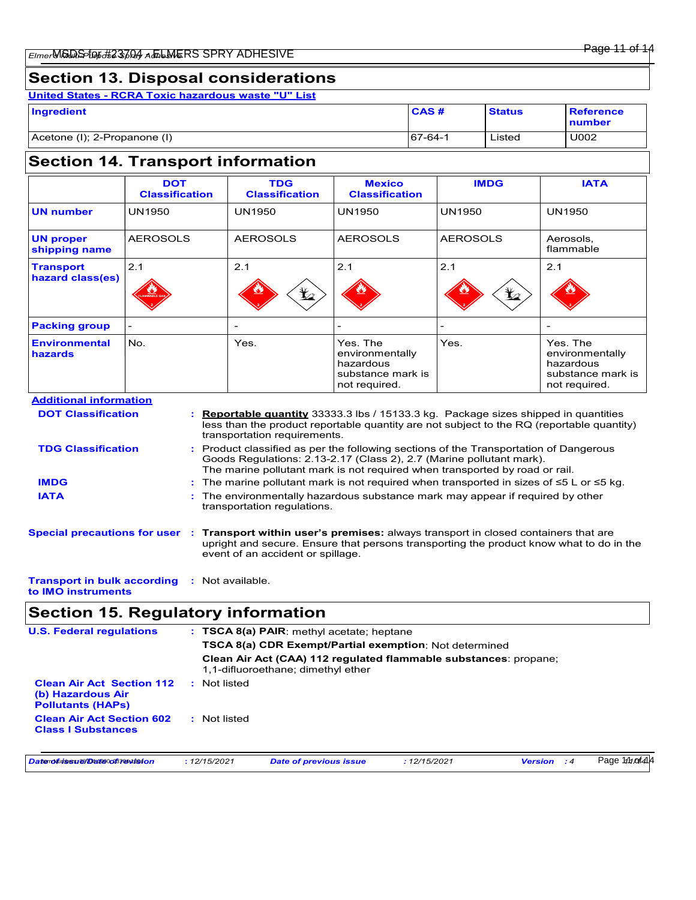# **Section 13. Disposal considerations**

**United States - RCRA Toxic hazardous waste "U" List**

| Ingredient                   | CAS#           | <b>Status</b> | <b>Reference</b><br><b>Inumber</b> |
|------------------------------|----------------|---------------|------------------------------------|
| Acetone (I); 2-Propanone (I) | $167 - 64 - 1$ | Listed        | U002                               |

# **Section 14. Transport information**

|                                                                                                                                                                                                                                                                         | <b>DOT</b><br><b>Classification</b>                                                                                                                                                                                                                     |                                                                                                             |  | <b>TDG</b><br><b>Classification</b> | <b>Mexico</b><br><b>Classification</b>                                         | <b>IMDG</b>                                                                                                                                                                           | <b>IATA</b>                                                                    |
|-------------------------------------------------------------------------------------------------------------------------------------------------------------------------------------------------------------------------------------------------------------------------|---------------------------------------------------------------------------------------------------------------------------------------------------------------------------------------------------------------------------------------------------------|-------------------------------------------------------------------------------------------------------------|--|-------------------------------------|--------------------------------------------------------------------------------|---------------------------------------------------------------------------------------------------------------------------------------------------------------------------------------|--------------------------------------------------------------------------------|
| <b>UN number</b>                                                                                                                                                                                                                                                        | <b>UN1950</b>                                                                                                                                                                                                                                           |                                                                                                             |  | <b>UN1950</b>                       | <b>UN1950</b>                                                                  | <b>UN1950</b>                                                                                                                                                                         | <b>UN1950</b>                                                                  |
| <b>UN proper</b><br>shipping name                                                                                                                                                                                                                                       | <b>AEROSOLS</b>                                                                                                                                                                                                                                         |                                                                                                             |  | <b>AEROSOLS</b>                     | <b>AEROSOLS</b>                                                                | <b>AEROSOLS</b>                                                                                                                                                                       | Aerosols,<br>flammable                                                         |
| <b>Transport</b><br>hazard class(es)                                                                                                                                                                                                                                    | 2.1                                                                                                                                                                                                                                                     |                                                                                                             |  | 2.1<br>$\bigstar$                   | 2.1                                                                            | 2.1                                                                                                                                                                                   | 2.1                                                                            |
| <b>Packing group</b>                                                                                                                                                                                                                                                    |                                                                                                                                                                                                                                                         |                                                                                                             |  |                                     |                                                                                |                                                                                                                                                                                       |                                                                                |
| <b>Environmental</b><br>hazards                                                                                                                                                                                                                                         | No.                                                                                                                                                                                                                                                     |                                                                                                             |  | Yes.                                | Yes. The<br>environmentally<br>hazardous<br>substance mark is<br>not required. | Yes.                                                                                                                                                                                  | Yes. The<br>environmentally<br>hazardous<br>substance mark is<br>not required. |
| <b>Additional information</b>                                                                                                                                                                                                                                           |                                                                                                                                                                                                                                                         |                                                                                                             |  |                                     |                                                                                |                                                                                                                                                                                       |                                                                                |
| <b>DOT Classification</b>                                                                                                                                                                                                                                               |                                                                                                                                                                                                                                                         |                                                                                                             |  | transportation requirements.        |                                                                                | <b>Reportable quantity</b> 33333.3 lbs / 15133.3 kg. Package sizes shipped in quantities<br>less than the product reportable quantity are not subject to the RQ (reportable quantity) |                                                                                |
| Product classified as per the following sections of the Transportation of Dangerous<br><b>TDG Classification</b><br>Goods Regulations: 2.13-2.17 (Class 2), 2.7 (Marine pollutant mark).<br>The marine pollutant mark is not required when transported by road or rail. |                                                                                                                                                                                                                                                         |                                                                                                             |  |                                     |                                                                                |                                                                                                                                                                                       |                                                                                |
| <b>IMDG</b>                                                                                                                                                                                                                                                             |                                                                                                                                                                                                                                                         |                                                                                                             |  |                                     |                                                                                | The marine pollutant mark is not required when transported in sizes of $\leq 5$ L or $\leq 5$ kg.                                                                                     |                                                                                |
| <b>IATA</b>                                                                                                                                                                                                                                                             |                                                                                                                                                                                                                                                         | The environmentally hazardous substance mark may appear if required by other<br>transportation regulations. |  |                                     |                                                                                |                                                                                                                                                                                       |                                                                                |
|                                                                                                                                                                                                                                                                         | <b>Special precautions for user</b><br>Transport within user's premises: always transport in closed containers that are<br>upright and secure. Ensure that persons transporting the product know what to do in the<br>event of an accident or spillage. |                                                                                                             |  |                                     |                                                                                |                                                                                                                                                                                       |                                                                                |
| : Not available.<br><b>Transport in bulk according</b>                                                                                                                                                                                                                  |                                                                                                                                                                                                                                                         |                                                                                                             |  |                                     |                                                                                |                                                                                                                                                                                       |                                                                                |

# **to IMO instruments**

# **Section 15. Regulatory information**

| <b>U.S. Federal regulations</b>                                                   | : TSCA 8(a) PAIR: methyl acetate; heptane                                                              |
|-----------------------------------------------------------------------------------|--------------------------------------------------------------------------------------------------------|
|                                                                                   | <b>TSCA 8(a) CDR Exempt/Partial exemption: Not determined</b>                                          |
|                                                                                   | Clean Air Act (CAA) 112 regulated flammable substances: propane;<br>1,1-difluoroethane; dimethyl ether |
| <b>Clean Air Act Section 112</b><br>(b) Hazardous Air<br><b>Pollutants (HAPs)</b> | : Not listed                                                                                           |
| <b>Clean Air Act Section 602</b><br><b>Class I Substances</b>                     | : Not listed                                                                                           |
|                                                                                   |                                                                                                        |

| Datenolūtissu 2910 atl@0087@vtls4on | 12/15/2021 | <b>Date of previous issue</b> | : 12/15/2021 | Version | Page 1/10 01414 |
|-------------------------------------|------------|-------------------------------|--------------|---------|-----------------|
|-------------------------------------|------------|-------------------------------|--------------|---------|-----------------|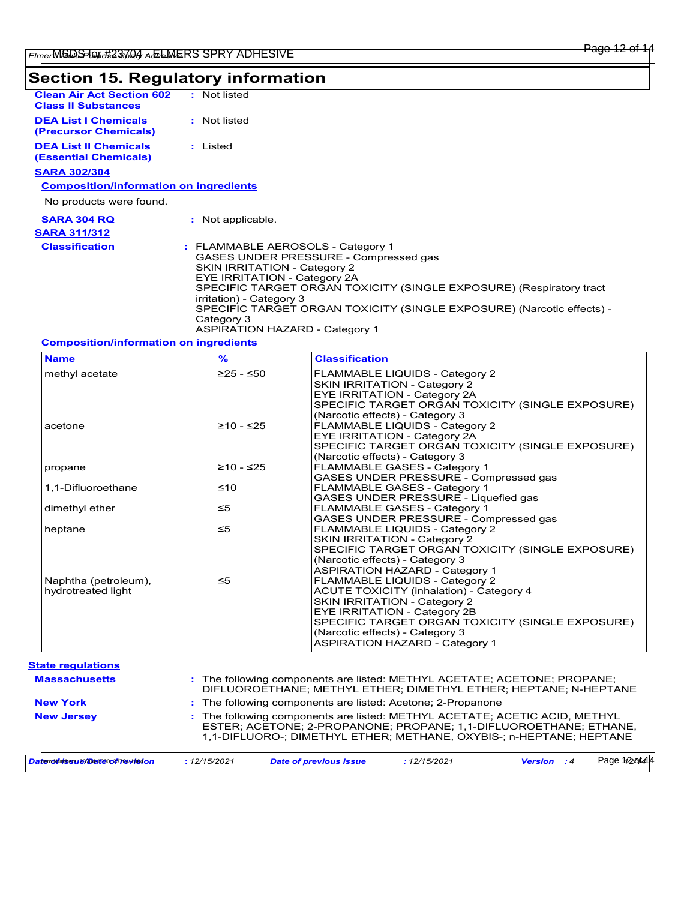# **Section 15. Regulatory information**

| <b>Clean Air Act Section 602</b><br><b>Class II Substances</b> | : Not listed    |  |
|----------------------------------------------------------------|-----------------|--|
| <b>DEA List I Chemicals</b><br>(Precursor Chemicals)           | : Not listed    |  |
| <b>DEA List II Chemicals</b><br><b>(Essential Chemicals)</b>   | : Listed        |  |
| <b>SARA 302/304</b>                                            |                 |  |
| <b>Composition/information on ingredients</b>                  |                 |  |
| No products were found.                                        |                 |  |
| <b>SARA 304 RO</b>                                             | Not applicable. |  |
| <b>CADA 2441242</b>                                            |                 |  |

| SARA 311/312          |                                                                                                                                                                                                                                                                                                                                                                               |
|-----------------------|-------------------------------------------------------------------------------------------------------------------------------------------------------------------------------------------------------------------------------------------------------------------------------------------------------------------------------------------------------------------------------|
| <b>Classification</b> | : FLAMMABLE AEROSOLS - Category 1<br>GASES UNDER PRESSURE - Compressed gas<br>SKIN IRRITATION - Category 2<br>EYE IRRITATION - Category 2A<br>SPECIFIC TARGET ORGAN TOXICITY (SINGLE EXPOSURE) (Respiratory tract<br>irritation) - Category 3<br>SPECIFIC TARGET ORGAN TOXICITY (SINGLE EXPOSURE) (Narcotic effects) -<br>Category 3<br><b>ASPIRATION HAZARD - Category 1</b> |

### **Composition/information on ingredients**

| <b>Name</b>          | %           | <b>Classification</b>                            |
|----------------------|-------------|--------------------------------------------------|
| methyl acetate       | $≥25 - ≤50$ | FLAMMABLE LIQUIDS - Category 2                   |
|                      |             | SKIN IRRITATION - Category 2                     |
|                      |             | <b>EYE IRRITATION - Category 2A</b>              |
|                      |             | SPECIFIC TARGET ORGAN TOXICITY (SINGLE EXPOSURE) |
|                      |             | (Narcotic effects) - Category 3                  |
| acetone              | $≥10 - ≤25$ | FLAMMABLE LIQUIDS - Category 2                   |
|                      |             | <b>EYE IRRITATION - Category 2A</b>              |
|                      |             | SPECIFIC TARGET ORGAN TOXICITY (SINGLE EXPOSURE) |
|                      |             | (Narcotic effects) - Category 3                  |
| propane              | $≥10 - ≤25$ | FLAMMABLE GASES - Category 1                     |
|                      |             | GASES UNDER PRESSURE - Compressed gas            |
| 1,1-Difluoroethane   | ≤10         | <b>FLAMMABLE GASES - Category 1</b>              |
|                      |             | GASES UNDER PRESSURE - Liquefied gas             |
| dimethyl ether       | ≤5          | <b>FLAMMABLE GASES - Category 1</b>              |
|                      |             | GASES UNDER PRESSURE - Compressed gas            |
| heptane              | $\leq 5$    | FLAMMABLE LIQUIDS - Category 2                   |
|                      |             | SKIN IRRITATION - Category 2                     |
|                      |             | SPECIFIC TARGET ORGAN TOXICITY (SINGLE EXPOSURE) |
|                      |             | (Narcotic effects) - Category 3                  |
|                      |             | <b>ASPIRATION HAZARD - Category 1</b>            |
| Naphtha (petroleum), | ≤5          | FLAMMABLE LIQUIDS - Category 2                   |
| hydrotreated light   |             | <b>ACUTE TOXICITY (inhalation) - Category 4</b>  |
|                      |             | SKIN IRRITATION - Category 2                     |
|                      |             | EYE IRRITATION - Category 2B                     |
|                      |             | SPECIFIC TARGET ORGAN TOXICITY (SINGLE EXPOSURE) |
|                      |             | (Narcotic effects) - Category 3                  |
|                      |             | <b>ASPIRATION HAZARD - Category 1</b>            |

| <b>New Jersey</b>    | : The following components are listed: METHYL ACETATE; ACETIC ACID, METHYL<br>ESTER; ACETONE; 2-PROPANONE; PROPANE; 1,1-DIFLUOROETHANE; ETHANE,<br>1.1-DIFLUORO-; DIMETHYL ETHER; METHANE, OXYBIS-; n-HEPTANE; HEPTANE |  |  |  |  |
|----------------------|------------------------------------------------------------------------------------------------------------------------------------------------------------------------------------------------------------------------|--|--|--|--|
| <b>New York</b>      | : The following components are listed: Acetone; 2-Propanone                                                                                                                                                            |  |  |  |  |
| <b>Massachusetts</b> | : The following components are listed: METHYL ACETATE; ACETONE; PROPANE;<br>DIFLUOROETHANE; METHYL ETHER; DIMETHYL ETHER; HEPTANE; N-HEPTANE                                                                           |  |  |  |  |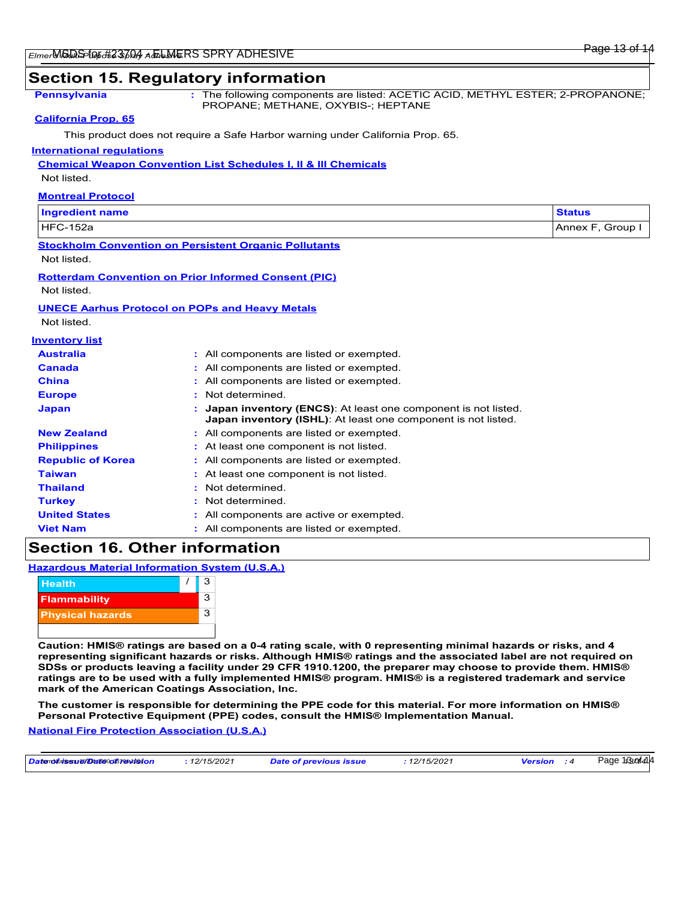## **Section 15. Regulatory information**

**Pennsylvania :** The following components are listed: ACETIC ACID, METHYL ESTER; 2-PROPANONE; PROPANE; METHANE, OXYBIS-; HEPTANE

#### **California Prop. 65**

This product does not require a Safe Harbor warning under California Prop. 65.

#### **International regulations**

#### **Chemical Weapon Convention List Schedules I, II & III Chemicals**

Not listed.

| <b>Montreal Protocol</b> |
|--------------------------|
|--------------------------|

| Ingredient name              | े <sup>५</sup> वtus |  |
|------------------------------|---------------------|--|
| 152a<br><b>HEC</b><br>$\sim$ | Group<br>Annex F    |  |

# **Stockholm Convention on Persistent Organic Pollutants**

Not listed.

#### **Rotterdam Convention on Prior Informed Consent (PIC)**

Not listed.

#### **UNECE Aarhus Protocol on POPs and Heavy Metals**

Not listed.

| <b>Inventory list</b>    |                                                                                                                                              |
|--------------------------|----------------------------------------------------------------------------------------------------------------------------------------------|
| <b>Australia</b>         | : All components are listed or exempted.                                                                                                     |
| Canada                   | : All components are listed or exempted.                                                                                                     |
| <b>China</b>             | : All components are listed or exempted.                                                                                                     |
| <b>Europe</b>            | : Not determined.                                                                                                                            |
| <b>Japan</b>             | <b>Japan inventory (ENCS):</b> At least one component is not listed.<br><b>Japan inventory (ISHL):</b> At least one component is not listed. |
| <b>New Zealand</b>       | : All components are listed or exempted.                                                                                                     |
| <b>Philippines</b>       | : At least one component is not listed.                                                                                                      |
| <b>Republic of Korea</b> | : All components are listed or exempted.                                                                                                     |
| <b>Taiwan</b>            | : At least one component is not listed.                                                                                                      |
| <b>Thailand</b>          | Not determined<br>۰.                                                                                                                         |
| <b>Turkey</b>            | : Not determined                                                                                                                             |
| <b>United States</b>     | All components are active or exempted.                                                                                                       |
| <b>Viet Nam</b>          | : All components are listed or exempted.                                                                                                     |

# **Section 16. Other information**

**Hazardous Material Information System (U.S.A.)**



**Caution: HMIS® ratings are based on a 0-4 rating scale, with 0 representing minimal hazards or risks, and 4 representing significant hazards or risks. Although HMIS® ratings and the associated label are not required on SDSs or products leaving a facility under 29 CFR 1910.1200, the preparer may choose to provide them. HMIS® ratings are to be used with a fully implemented HMIS® program. HMIS® is a registered trademark and service mark of the American Coatings Association, Inc.**

**The customer is responsible for determining the PPE code for this material. For more information on HMIS® Personal Protective Equipment (PPE) codes, consult the HMIS® Implementation Manual.**

**National Fire Protection Association (U.S.A.)**

| Datenoluissu 2910 atteoog 37 av 1940 n | 12/15/2021 | <b>Date of previous issue</b> | 12/15/2021 | <b>Version</b> | Page 13sof414 |
|----------------------------------------|------------|-------------------------------|------------|----------------|---------------|
|----------------------------------------|------------|-------------------------------|------------|----------------|---------------|